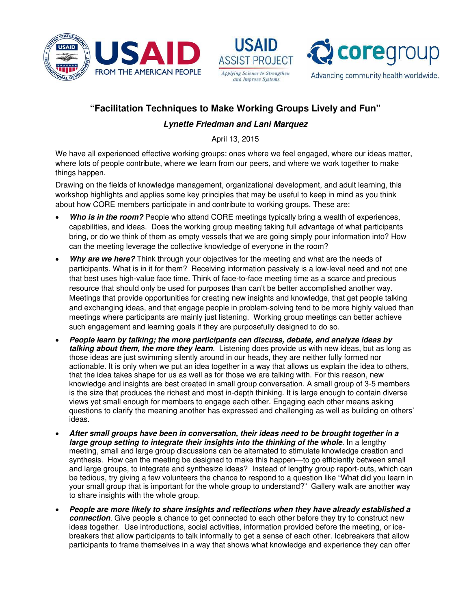





## **"Facilitation Techniques to Make Working Groups Lively and Fun"**

## **Lynette Friedman and Lani Marquez**

April 13, 2015

We have all experienced effective working groups: ones where we feel engaged, where our ideas matter, where lots of people contribute, where we learn from our peers, and where we work together to make things happen.

Drawing on the fields of knowledge management, organizational development, and adult learning, this workshop highlights and applies some key principles that may be useful to keep in mind as you think about how CORE members participate in and contribute to working groups. These are:

- **Who is in the room?** People who attend CORE meetings typically bring a wealth of experiences, capabilities, and ideas. Does the working group meeting taking full advantage of what participants bring, or do we think of them as empty vessels that we are going simply pour information into? How can the meeting leverage the collective knowledge of everyone in the room?
- **Why are we here?** Think through your objectives for the meeting and what are the needs of participants. What is in it for them? Receiving information passively is a low-level need and not one that best uses high-value face time. Think of face-to-face meeting time as a scarce and precious resource that should only be used for purposes than can't be better accomplished another way. Meetings that provide opportunities for creating new insights and knowledge, that get people talking and exchanging ideas, and that engage people in problem-solving tend to be more highly valued than meetings where participants are mainly just listening. Working group meetings can better achieve such engagement and learning goals if they are purposefully designed to do so.
- **People learn by talking; the more participants can discuss, debate, and analyze ideas by talking about them, the more they learn**. Listening does provide us with new ideas, but as long as those ideas are just swimming silently around in our heads, they are neither fully formed nor actionable. It is only when we put an idea together in a way that allows us explain the idea to others, that the idea takes shape for us as well as for those we are talking with. For this reason, new knowledge and insights are best created in small group conversation. A small group of 3-5 members is the size that produces the richest and most in-depth thinking. It is large enough to contain diverse views yet small enough for members to engage each other. Engaging each other means asking questions to clarify the meaning another has expressed and challenging as well as building on others' ideas.
- **After small groups have been in conversation, their ideas need to be brought together in a large group setting to integrate their insights into the thinking of the whole**. In a lengthy meeting, small and large group discussions can be alternated to stimulate knowledge creation and synthesis. How can the meeting be designed to make this happen—to go efficiently between small and large groups, to integrate and synthesize ideas? Instead of lengthy group report-outs, which can be tedious, try giving a few volunteers the chance to respond to a question like "What did you learn in your small group that is important for the whole group to understand?" Gallery walk are another way to share insights with the whole group.
- **People are more likely to share insights and reflections when they have already established a connection**. Give people a chance to get connected to each other before they try to construct new ideas together. Use introductions, social activities, information provided before the meeting, or icebreakers that allow participants to talk informally to get a sense of each other. Icebreakers that allow participants to frame themselves in a way that shows what knowledge and experience they can offer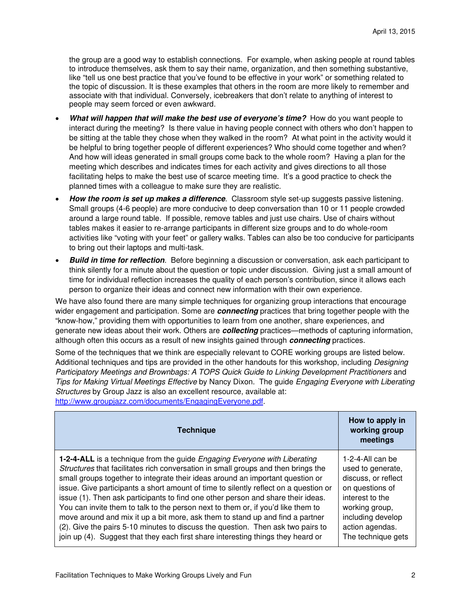the group are a good way to establish connections. For example, when asking people at round tables to introduce themselves, ask them to say their name, organization, and then something substantive, like "tell us one best practice that you've found to be effective in your work" or something related to the topic of discussion. It is these examples that others in the room are more likely to remember and associate with that individual. Conversely, icebreakers that don't relate to anything of interest to people may seem forced or even awkward.

- **What will happen that will make the best use of everyone's time?** How do you want people to interact during the meeting? Is there value in having people connect with others who don't happen to be sitting at the table they chose when they walked in the room? At what point in the activity would it be helpful to bring together people of different experiences? Who should come together and when? And how will ideas generated in small groups come back to the whole room? Having a plan for the meeting which describes and indicates times for each activity and gives directions to all those facilitating helps to make the best use of scarce meeting time. It's a good practice to check the planned times with a colleague to make sure they are realistic.
- **How the room is set up makes a difference**. Classroom style set-up suggests passive listening. Small groups (4-6 people) are more conducive to deep conversation than 10 or 11 people crowded around a large round table. If possible, remove tables and just use chairs. Use of chairs without tables makes it easier to re-arrange participants in different size groups and to do whole-room activities like "voting with your feet" or gallery walks. Tables can also be too conducive for participants to bring out their laptops and multi-task.
- **Build in time for reflection**. Before beginning a discussion or conversation, ask each participant to think silently for a minute about the question or topic under discussion. Giving just a small amount of time for individual reflection increases the quality of each person's contribution, since it allows each person to organize their ideas and connect new information with their own experience.

We have also found there are many simple techniques for organizing group interactions that encourage wider engagement and participation. Some are **connecting** practices that bring together people with the "know-how," providing them with opportunities to learn from one another, share experiences, and generate new ideas about their work. Others are **collecting** practices—methods of capturing information, although often this occurs as a result of new insights gained through **connecting** practices.

Some of the techniques that we think are especially relevant to CORE working groups are listed below. Additional techniques and tips are provided in the other handouts for this workshop, including Designing Participatory Meetings and Brownbags: A TOPS Quick Guide to Linking Development Practitioners and Tips for Making Virtual Meetings Effective by Nancy Dixon. The guide Engaging Everyone with Liberating Structures by Group Jazz is also an excellent resource, available at: http://www.groupjazz.com/documents/EngagingEveryone.pdf.

| <b>Technique</b>                                                                        | How to apply in<br>working group<br>meetings |
|-----------------------------------------------------------------------------------------|----------------------------------------------|
| <b>1-2-4-ALL</b> is a technique from the guide <i>Engaging Everyone with Liberating</i> | 1-2-4-All can be                             |
| Structures that facilitates rich conversation in small groups and then brings the       | used to generate,                            |
| small groups together to integrate their ideas around an important question or          | discuss, or reflect                          |
| issue. Give participants a short amount of time to silently reflect on a question or    | on questions of                              |
| issue (1). Then ask participants to find one other person and share their ideas.        | interest to the                              |
| You can invite them to talk to the person next to them or, if you'd like them to        | working group,                               |
| move around and mix it up a bit more, ask them to stand up and find a partner           | including develop                            |
| (2). Give the pairs 5-10 minutes to discuss the question. Then ask two pairs to         | action agendas.                              |
| join up (4). Suggest that they each first share interesting things they heard or        | The technique gets                           |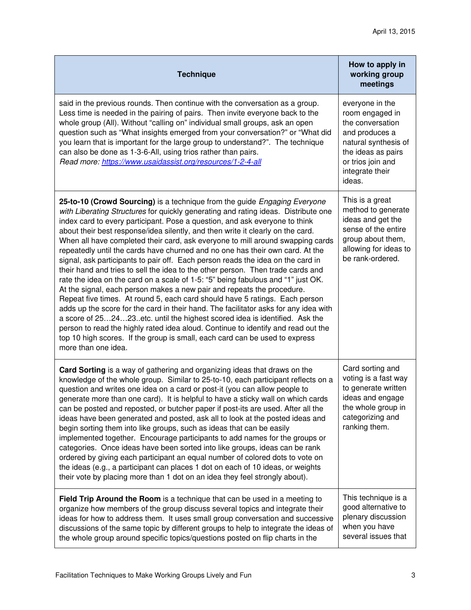| <b>Technique</b>                                                                                                                                                                                                                                                                                                                                                                                                                                                                                                                                                                                                                                                                                                                                                                                                                                                                                                                                                                                                                                                                                                                                                                                                                                                                                  | How to apply in<br>working group<br>meetings                                                                                                                             |
|---------------------------------------------------------------------------------------------------------------------------------------------------------------------------------------------------------------------------------------------------------------------------------------------------------------------------------------------------------------------------------------------------------------------------------------------------------------------------------------------------------------------------------------------------------------------------------------------------------------------------------------------------------------------------------------------------------------------------------------------------------------------------------------------------------------------------------------------------------------------------------------------------------------------------------------------------------------------------------------------------------------------------------------------------------------------------------------------------------------------------------------------------------------------------------------------------------------------------------------------------------------------------------------------------|--------------------------------------------------------------------------------------------------------------------------------------------------------------------------|
| said in the previous rounds. Then continue with the conversation as a group.<br>Less time is needed in the pairing of pairs. Then invite everyone back to the<br>whole group (All). Without "calling on" individual small groups, ask an open<br>question such as "What insights emerged from your conversation?" or "What did<br>you learn that is important for the large group to understand?". The technique<br>can also be done as 1-3-6-All, using trios rather than pairs.<br>Read more: https://www.usaidassist.org/resources/1-2-4-all                                                                                                                                                                                                                                                                                                                                                                                                                                                                                                                                                                                                                                                                                                                                                   | everyone in the<br>room engaged in<br>the conversation<br>and produces a<br>natural synthesis of<br>the ideas as pairs<br>or trios join and<br>integrate their<br>ideas. |
| 25-to-10 (Crowd Sourcing) is a technique from the guide <i>Engaging Everyone</i><br>with Liberating Structures for quickly generating and rating ideas. Distribute one<br>index card to every participant. Pose a question, and ask everyone to think<br>about their best response/idea silently, and then write it clearly on the card.<br>When all have completed their card, ask everyone to mill around swapping cards<br>repeatedly until the cards have churned and no one has their own card. At the<br>signal, ask participants to pair off. Each person reads the idea on the card in<br>their hand and tries to sell the idea to the other person. Then trade cards and<br>rate the idea on the card on a scale of 1-5: "5" being fabulous and "1" just OK.<br>At the signal, each person makes a new pair and repeats the procedure.<br>Repeat five times. At round 5, each card should have 5 ratings. Each person<br>adds up the score for the card in their hand. The facilitator asks for any idea with<br>a score of 252423. etc. until the highest scored idea is identified. Ask the<br>person to read the highly rated idea aloud. Continue to identify and read out the<br>top 10 high scores. If the group is small, each card can be used to express<br>more than one idea. | This is a great<br>method to generate<br>ideas and get the<br>sense of the entire<br>group about them,<br>allowing for ideas to<br>be rank-ordered.                      |
| Card Sorting is a way of gathering and organizing ideas that draws on the<br>knowledge of the whole group. Similar to 25-to-10, each participant reflects on a<br>question and writes one idea on a card or post-it (you can allow people to<br>generate more than one card). It is helpful to have a sticky wall on which cards<br>can be posted and reposted, or butcher paper if post-its are used. After all the<br>ideas have been generated and posted, ask all to look at the posted ideas and<br>begin sorting them into like groups, such as ideas that can be easily<br>implemented together. Encourage participants to add names for the groups or<br>categories. Once ideas have been sorted into like groups, ideas can be rank<br>ordered by giving each participant an equal number of colored dots to vote on<br>the ideas (e.g., a participant can places 1 dot on each of 10 ideas, or weights<br>their vote by placing more than 1 dot on an idea they feel strongly about).                                                                                                                                                                                                                                                                                                   | Card sorting and<br>voting is a fast way<br>to generate written<br>ideas and engage<br>the whole group in<br>categorizing and<br>ranking them.                           |
| Field Trip Around the Room is a technique that can be used in a meeting to<br>organize how members of the group discuss several topics and integrate their<br>ideas for how to address them. It uses small group conversation and successive<br>discussions of the same topic by different groups to help to integrate the ideas of<br>the whole group around specific topics/questions posted on flip charts in the                                                                                                                                                                                                                                                                                                                                                                                                                                                                                                                                                                                                                                                                                                                                                                                                                                                                              | This technique is a<br>good alternative to<br>plenary discussion<br>when you have<br>several issues that                                                                 |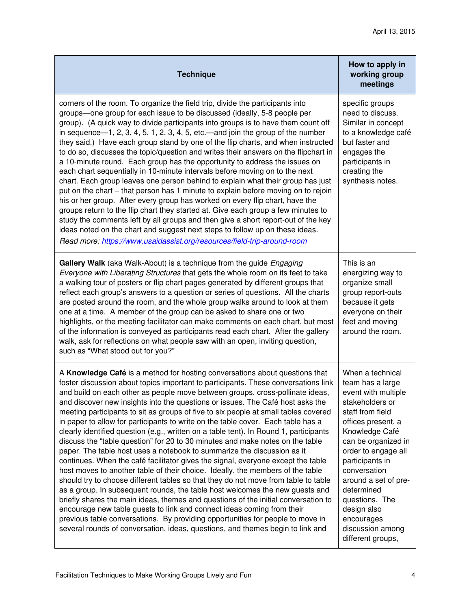| <b>Technique</b>                                                                                                                                                                                                                                                                                                                                                                                                                                                                                                                                                                                                                                                                                                                                                                                                                                                                                                                                                                                                                                                                                                                                                                                                                                                                                                                                                                                                                                     | How to apply in<br>working group<br>meetings                                                                                                                                                                                                                                                                                                              |
|------------------------------------------------------------------------------------------------------------------------------------------------------------------------------------------------------------------------------------------------------------------------------------------------------------------------------------------------------------------------------------------------------------------------------------------------------------------------------------------------------------------------------------------------------------------------------------------------------------------------------------------------------------------------------------------------------------------------------------------------------------------------------------------------------------------------------------------------------------------------------------------------------------------------------------------------------------------------------------------------------------------------------------------------------------------------------------------------------------------------------------------------------------------------------------------------------------------------------------------------------------------------------------------------------------------------------------------------------------------------------------------------------------------------------------------------------|-----------------------------------------------------------------------------------------------------------------------------------------------------------------------------------------------------------------------------------------------------------------------------------------------------------------------------------------------------------|
| corners of the room. To organize the field trip, divide the participants into<br>groups-one group for each issue to be discussed (ideally, 5-8 people per<br>group). (A quick way to divide participants into groups is to have them count off<br>in sequence-1, 2, 3, 4, 5, 1, 2, 3, 4, 5, etc.-and join the group of the number<br>they said.) Have each group stand by one of the flip charts, and when instructed<br>to do so, discusses the topic/question and writes their answers on the flipchart in<br>a 10-minute round. Each group has the opportunity to address the issues on<br>each chart sequentially in 10-minute intervals before moving on to the next<br>chart. Each group leaves one person behind to explain what their group has just<br>put on the chart – that person has 1 minute to explain before moving on to rejoin<br>his or her group. After every group has worked on every flip chart, have the<br>groups return to the flip chart they started at. Give each group a few minutes to<br>study the comments left by all groups and then give a short report-out of the key<br>ideas noted on the chart and suggest next steps to follow up on these ideas.<br>Read more: https://www.usaidassist.org/resources/field-trip-around-room                                                                                                                                                                               | specific groups<br>need to discuss.<br>Similar in concept<br>to a knowledge café<br>but faster and<br>engages the<br>participants in<br>creating the<br>synthesis notes.                                                                                                                                                                                  |
| Gallery Walk (aka Walk-About) is a technique from the guide Engaging<br>Everyone with Liberating Structures that gets the whole room on its feet to take<br>a walking tour of posters or flip chart pages generated by different groups that<br>reflect each group's answers to a question or series of questions. All the charts<br>are posted around the room, and the whole group walks around to look at them<br>one at a time. A member of the group can be asked to share one or two<br>highlights, or the meeting facilitator can make comments on each chart, but most<br>of the information is conveyed as participants read each chart. After the gallery<br>walk, ask for reflections on what people saw with an open, inviting question,<br>such as "What stood out for you?"                                                                                                                                                                                                                                                                                                                                                                                                                                                                                                                                                                                                                                                            | This is an<br>energizing way to<br>organize small<br>group report-outs<br>because it gets<br>everyone on their<br>feet and moving<br>around the room.                                                                                                                                                                                                     |
| A Knowledge Café is a method for hosting conversations about questions that<br>foster discussion about topics important to participants. These conversations link<br>and build on each other as people move between groups, cross-pollinate ideas,<br>and discover new insights into the questions or issues. The Café host asks the<br>meeting participants to sit as groups of five to six people at small tables covered<br>in paper to allow for participants to write on the table cover. Each table has a<br>clearly identified question (e.g., written on a table tent). In Round 1, participants<br>discuss the "table question" for 20 to 30 minutes and make notes on the table<br>paper. The table host uses a notebook to summarize the discussion as it<br>continues. When the café facilitator gives the signal, everyone except the table<br>host moves to another table of their choice. Ideally, the members of the table<br>should try to choose different tables so that they do not move from table to table<br>as a group. In subsequent rounds, the table host welcomes the new guests and<br>briefly shares the main ideas, themes and questions of the initial conversation to<br>encourage new table guests to link and connect ideas coming from their<br>previous table conversations. By providing opportunities for people to move in<br>several rounds of conversation, ideas, questions, and themes begin to link and | When a technical<br>team has a large<br>event with multiple<br>stakeholders or<br>staff from field<br>offices present, a<br>Knowledge Café<br>can be organized in<br>order to engage all<br>participants in<br>conversation<br>around a set of pre-<br>determined<br>questions. The<br>design also<br>encourages<br>discussion among<br>different groups, |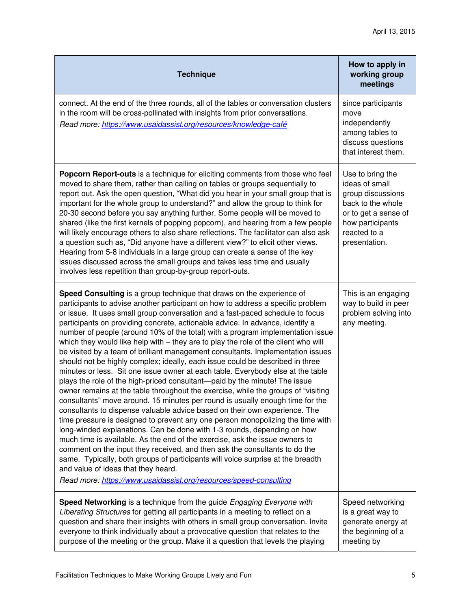| <b>Technique</b>                                                                                                                                                                                                                                                                                                                                                                                                                                                                                                                                                                                                                                                                                                                                                                                                                                                                                                                                                                                                                                                                                                                                                                                                                                                                                                                                                                                                                                                                                                                                                                                                     | How to apply in<br>working group<br>meetings                                                                                                              |
|----------------------------------------------------------------------------------------------------------------------------------------------------------------------------------------------------------------------------------------------------------------------------------------------------------------------------------------------------------------------------------------------------------------------------------------------------------------------------------------------------------------------------------------------------------------------------------------------------------------------------------------------------------------------------------------------------------------------------------------------------------------------------------------------------------------------------------------------------------------------------------------------------------------------------------------------------------------------------------------------------------------------------------------------------------------------------------------------------------------------------------------------------------------------------------------------------------------------------------------------------------------------------------------------------------------------------------------------------------------------------------------------------------------------------------------------------------------------------------------------------------------------------------------------------------------------------------------------------------------------|-----------------------------------------------------------------------------------------------------------------------------------------------------------|
| connect. At the end of the three rounds, all of the tables or conversation clusters<br>in the room will be cross-pollinated with insights from prior conversations.<br>Read more: https://www.usaidassist.org/resources/knowledge-café                                                                                                                                                                                                                                                                                                                                                                                                                                                                                                                                                                                                                                                                                                                                                                                                                                                                                                                                                                                                                                                                                                                                                                                                                                                                                                                                                                               | since participants<br>move<br>independently<br>among tables to<br>discuss questions<br>that interest them.                                                |
| Popcorn Report-outs is a technique for eliciting comments from those who feel<br>moved to share them, rather than calling on tables or groups sequentially to<br>report out. Ask the open question, "What did you hear in your small group that is<br>important for the whole group to understand?" and allow the group to think for<br>20-30 second before you say anything further. Some people will be moved to<br>shared (like the first kernels of popping popcorn), and hearing from a few people<br>will likely encourage others to also share reflections. The facilitator can also ask<br>a question such as, "Did anyone have a different view?" to elicit other views.<br>Hearing from 5-8 individuals in a large group can create a sense of the key<br>issues discussed across the small groups and takes less time and usually<br>involves less repetition than group-by-group report-outs.                                                                                                                                                                                                                                                                                                                                                                                                                                                                                                                                                                                                                                                                                                            | Use to bring the<br>ideas of small<br>group discussions<br>back to the whole<br>or to get a sense of<br>how participants<br>reacted to a<br>presentation. |
| Speed Consulting is a group technique that draws on the experience of<br>participants to advise another participant on how to address a specific problem<br>or issue. It uses small group conversation and a fast-paced schedule to focus<br>participants on providing concrete, actionable advice. In advance, identify a<br>number of people (around 10% of the total) with a program implementation issue<br>which they would like help with - they are to play the role of the client who will<br>be visited by a team of brilliant management consultants. Implementation issues<br>should not be highly complex; ideally, each issue could be described in three<br>minutes or less. Sit one issue owner at each table. Everybody else at the table<br>plays the role of the high-priced consultant—paid by the minute! The issue<br>owner remains at the table throughout the exercise, while the groups of "visiting<br>consultants" move around. 15 minutes per round is usually enough time for the<br>consultants to dispense valuable advice based on their own experience. The<br>time pressure is designed to prevent any one person monopolizing the time with<br>long-winded explanations. Can be done with 1-3 rounds, depending on how<br>much time is available. As the end of the exercise, ask the issue owners to<br>comment on the input they received, and then ask the consultants to do the<br>same. Typically, both groups of participants will voice surprise at the breadth<br>and value of ideas that they heard.<br>Read more: https://www.usaidassist.org/resources/speed-consulting | This is an engaging<br>way to build in peer<br>problem solving into<br>any meeting.                                                                       |
| Speed Networking is a technique from the guide Engaging Everyone with<br>Liberating Structures for getting all participants in a meeting to reflect on a<br>question and share their insights with others in small group conversation. Invite<br>everyone to think individually about a provocative question that relates to the<br>purpose of the meeting or the group. Make it a question that levels the playing                                                                                                                                                                                                                                                                                                                                                                                                                                                                                                                                                                                                                                                                                                                                                                                                                                                                                                                                                                                                                                                                                                                                                                                                  | Speed networking<br>is a great way to<br>generate energy at<br>the beginning of a<br>meeting by                                                           |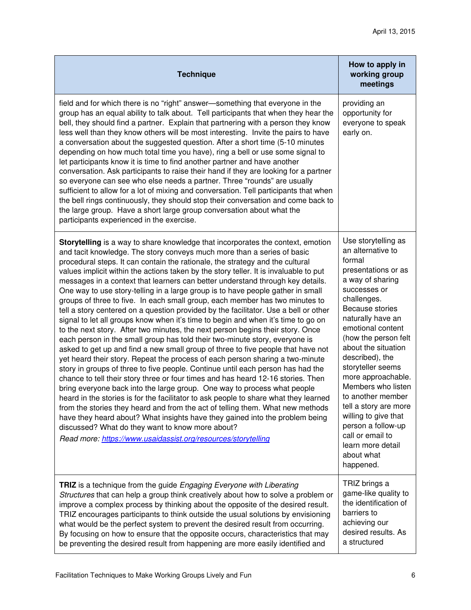| <b>Technique</b>                                                                                                                                                                                                                                                                                                                                                                                                                                                                                                                                                                                                                                                                                                                                                                                                                                                                                                                                                                                                                                                                                                                                                                                                                                                                                                                                                                                                                                                                                                                                                                                                                                                                                                                               | How to apply in<br>working group<br>meetings                                                                                                                                                                                                                                                                                                                                                                                                                                                 |
|------------------------------------------------------------------------------------------------------------------------------------------------------------------------------------------------------------------------------------------------------------------------------------------------------------------------------------------------------------------------------------------------------------------------------------------------------------------------------------------------------------------------------------------------------------------------------------------------------------------------------------------------------------------------------------------------------------------------------------------------------------------------------------------------------------------------------------------------------------------------------------------------------------------------------------------------------------------------------------------------------------------------------------------------------------------------------------------------------------------------------------------------------------------------------------------------------------------------------------------------------------------------------------------------------------------------------------------------------------------------------------------------------------------------------------------------------------------------------------------------------------------------------------------------------------------------------------------------------------------------------------------------------------------------------------------------------------------------------------------------|----------------------------------------------------------------------------------------------------------------------------------------------------------------------------------------------------------------------------------------------------------------------------------------------------------------------------------------------------------------------------------------------------------------------------------------------------------------------------------------------|
| field and for which there is no "right" answer-something that everyone in the<br>group has an equal ability to talk about. Tell participants that when they hear the<br>bell, they should find a partner. Explain that partnering with a person they know<br>less well than they know others will be most interesting. Invite the pairs to have<br>a conversation about the suggested question. After a short time (5-10 minutes<br>depending on how much total time you have), ring a bell or use some signal to<br>let participants know it is time to find another partner and have another<br>conversation. Ask participants to raise their hand if they are looking for a partner<br>so everyone can see who else needs a partner. Three "rounds" are usually<br>sufficient to allow for a lot of mixing and conversation. Tell participants that when<br>the bell rings continuously, they should stop their conversation and come back to<br>the large group. Have a short large group conversation about what the<br>participants experienced in the exercise.                                                                                                                                                                                                                                                                                                                                                                                                                                                                                                                                                                                                                                                                         | providing an<br>opportunity for<br>everyone to speak<br>early on.                                                                                                                                                                                                                                                                                                                                                                                                                            |
| Storytelling is a way to share knowledge that incorporates the context, emotion<br>and tacit knowledge. The story conveys much more than a series of basic<br>procedural steps. It can contain the rationale, the strategy and the cultural<br>values implicit within the actions taken by the story teller. It is invaluable to put<br>messages in a context that learners can better understand through key details.<br>One way to use story-telling in a large group is to have people gather in small<br>groups of three to five. In each small group, each member has two minutes to<br>tell a story centered on a question provided by the facilitator. Use a bell or other<br>signal to let all groups know when it's time to begin and when it's time to go on<br>to the next story. After two minutes, the next person begins their story. Once<br>each person in the small group has told their two-minute story, everyone is<br>asked to get up and find a new small group of three to five people that have not<br>yet heard their story. Repeat the process of each person sharing a two-minute<br>story in groups of three to five people. Continue until each person has had the<br>chance to tell their story three or four times and has heard 12-16 stories. Then<br>bring everyone back into the large group. One way to process what people<br>heard in the stories is for the facilitator to ask people to share what they learned<br>from the stories they heard and from the act of telling them. What new methods<br>have they heard about? What insights have they gained into the problem being<br>discussed? What do they want to know more about?<br>Read more: https://www.usaidassist.org/resources/storytelling | Use storytelling as<br>an alternative to<br>formal<br>presentations or as<br>a way of sharing<br>successes or<br>challenges.<br>Because stories<br>naturally have an<br>emotional content<br>(how the person felt<br>about the situation<br>described), the<br>storyteller seems<br>more approachable.<br>Members who listen<br>to another member<br>tell a story are more<br>willing to give that<br>person a follow-up<br>call or email to<br>learn more detail<br>about what<br>happened. |
| TRIZ is a technique from the guide Engaging Everyone with Liberating<br>Structures that can help a group think creatively about how to solve a problem or<br>improve a complex process by thinking about the opposite of the desired result.<br>TRIZ encourages participants to think outside the usual solutions by envisioning<br>what would be the perfect system to prevent the desired result from occurring.<br>By focusing on how to ensure that the opposite occurs, characteristics that may<br>be preventing the desired result from happening are more easily identified and                                                                                                                                                                                                                                                                                                                                                                                                                                                                                                                                                                                                                                                                                                                                                                                                                                                                                                                                                                                                                                                                                                                                                        | TRIZ brings a<br>game-like quality to<br>the identification of<br>barriers to<br>achieving our<br>desired results. As<br>a structured                                                                                                                                                                                                                                                                                                                                                        |